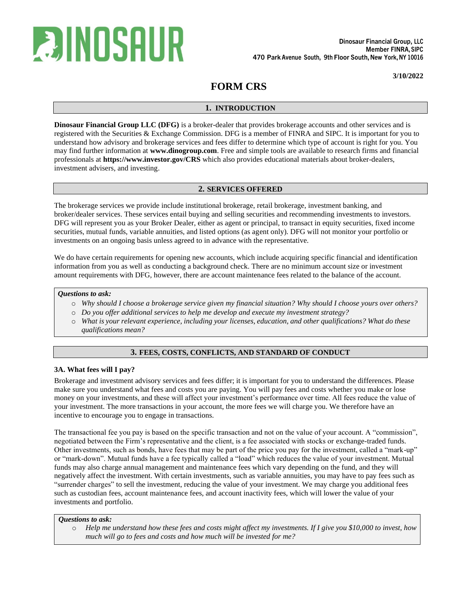

**3/10/2022**

# **FORM CRS**

## **1. INTRODUCTION**

**Dinosaur Financial Group LLC (DFG)** is a broker-dealer that provides brokerage accounts and other services and is registered with the Securities & Exchange Commission. DFG is a member of FINRA and SIPC. It is important for you to understand how advisory and brokerage services and fees differ to determine which type of account is right for you. You may find further information at **www.dinogroup.com**. Free and simple tools are available to research firms and financial professionals at **https://www.investor.gov/CRS** which also provides educational materials about broker-dealers, investment advisers, and investing.

## **2. SERVICES OFFERED**

The brokerage services we provide include institutional brokerage, retail brokerage, investment banking, and broker/dealer services. These services entail buying and selling securities and recommending investments to investors. DFG will represent you as your Broker Dealer, either as agent or principal, to transact in equity securities, fixed income securities, mutual funds, variable annuities, and listed options (as agent only). DFG will not monitor your portfolio or investments on an ongoing basis unless agreed to in advance with the representative.

We do have certain requirements for opening new accounts, which include acquiring specific financial and identification information from you as well as conducting a background check. There are no minimum account size or investment amount requirements with DFG, however, there are account maintenance fees related to the balance of the account.

## *Questions to ask:*

- o *Why should I choose a brokerage service given my financial situation? Why should I choose yours over others?*
- o *Do you offer additional services to help me develop and execute my investment strategy?*
- o *What is your relevant experience, including your licenses, education, and other qualifications? What do these qualifications mean?*

# **3. FEES, COSTS, CONFLICTS, AND STANDARD OF CONDUCT**

### **3A. What fees will I pay?**

Brokerage and investment advisory services and fees differ; it is important for you to understand the differences. Please make sure you understand what fees and costs you are paying. You will pay fees and costs whether you make or lose money on your investments, and these will affect your investment's performance over time. All fees reduce the value of your investment. The more transactions in your account, the more fees we will charge you. We therefore have an incentive to encourage you to engage in transactions.

The transactional fee you pay is based on the specific transaction and not on the value of your account. A "commission", negotiated between the Firm's representative and the client, is a fee associated with stocks or exchange-traded funds. Other investments, such as bonds, have fees that may be part of the price you pay for the investment, called a "mark-up" or "mark-down". Mutual funds have a fee typically called a "load" which reduces the value of your investment. Mutual funds may also charge annual management and maintenance fees which vary depending on the fund, and they will negatively affect the investment. With certain investments, such as variable annuities, you may have to pay fees such as "surrender charges" to sell the investment, reducing the value of your investment. We may charge you additional fees such as custodian fees, account maintenance fees, and account inactivity fees, which will lower the value of your investments and portfolio.

### *Questions to ask:*

o *Help me understand how these fees and costs might affect my investments. If I give you \$10,000 to invest, how much will go to fees and costs and how much will be invested for me?*